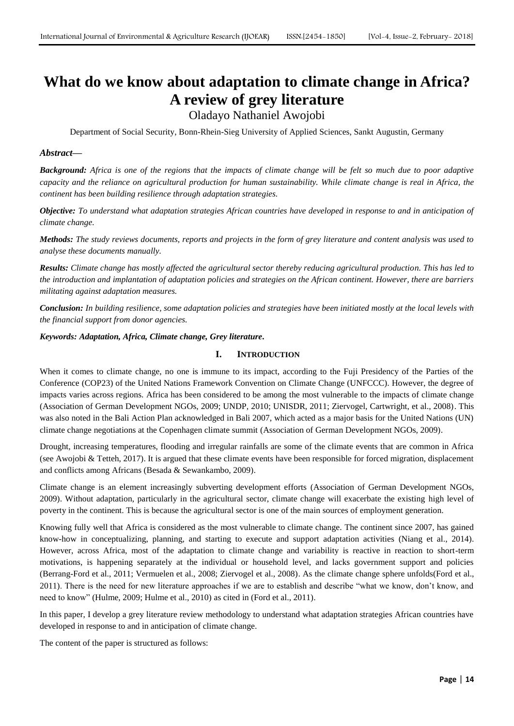# **What do we know about adaptation to climate change in Africa? A review of grey literature**

Oladayo Nathaniel Awojobi

Department of Social Security, Bonn-Rhein-Sieg University of Applied Sciences, Sankt Augustin, Germany

## *Abstract***—**

*Background: Africa is one of the regions that the impacts of climate change will be felt so much due to poor adaptive capacity and the reliance on agricultural production for human sustainability. While climate change is real in Africa, the continent has been building resilience through adaptation strategies.* 

*Objective: To understand what adaptation strategies African countries have developed in response to and in anticipation of climate change.* 

*Methods: The study reviews documents, reports and projects in the form of grey literature and content analysis was used to analyse these documents manually.* 

*Results: Climate change has mostly affected the agricultural sector thereby reducing agricultural production. This has led to the introduction and implantation of adaptation policies and strategies on the African continent. However, there are barriers militating against adaptation measures.* 

*Conclusion: In building resilience, some adaptation policies and strategies have been initiated mostly at the local levels with the financial support from donor agencies.*

*Keywords: Adaptation, Africa, Climate change, Grey literature.*

## **I. INTRODUCTION**

When it comes to climate change, no one is immune to its impact, according to the Fuji Presidency of the Parties of the Conference (COP23) of the United Nations Framework Convention on Climate Change (UNFCCC). However, the degree of impacts varies across regions. Africa has been considered to be among the most vulnerable to the impacts of climate change (Association of German Development NGOs, 2009; UNDP, 2010; UNISDR, 2011; Ziervogel, Cartwright, et al., 2008). This was also noted in the Bali Action Plan acknowledged in Bali 2007, which acted as a major basis for the United Nations (UN) climate change negotiations at the Copenhagen climate summit (Association of German Development NGOs, 2009).

Drought, increasing temperatures, flooding and irregular rainfalls are some of the climate events that are common in Africa (see Awojobi & Tetteh, 2017). It is argued that these climate events have been responsible for forced migration, displacement and conflicts among Africans (Besada & Sewankambo, 2009).

Climate change is an element increasingly subverting development efforts (Association of German Development NGOs, 2009). Without adaptation, particularly in the agricultural sector, climate change will exacerbate the existing high level of poverty in the continent. This is because the agricultural sector is one of the main sources of employment generation.

Knowing fully well that Africa is considered as the most vulnerable to climate change. The continent since 2007, has gained know-how in conceptualizing, planning, and starting to execute and support adaptation activities (Niang et al., 2014). However, across Africa, most of the adaptation to climate change and variability is reactive in reaction to short-term motivations, is happening separately at the individual or household level, and lacks government support and policies (Berrang-Ford et al., 2011; Vermuelen et al., 2008; Ziervogel et al., 2008). As the climate change sphere unfolds(Ford et al., 2011). There is the need for new literature approaches if we are to establish and describe "what we know, don't know, and need to know" (Hulme, 2009; Hulme et al., 2010) as cited in (Ford et al., 2011).

In this paper, I develop a grey literature review methodology to understand what adaptation strategies African countries have developed in response to and in anticipation of climate change.

The content of the paper is structured as follows: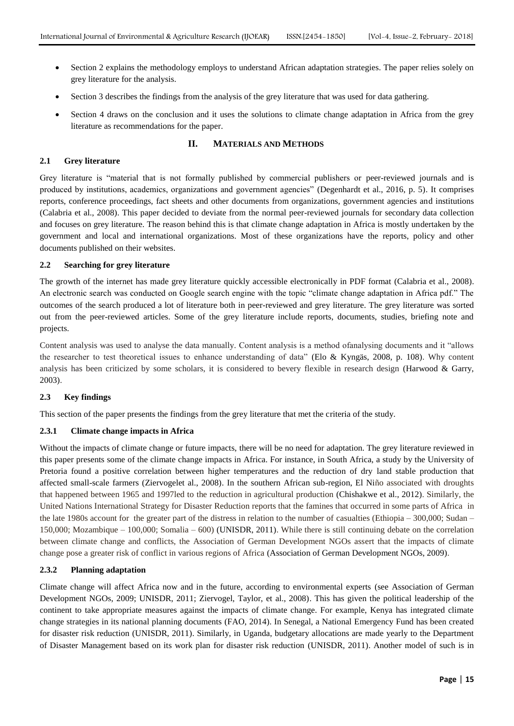- Section 2 explains the methodology employs to understand African adaptation strategies. The paper relies solely on grey literature for the analysis.
- Section 3 describes the findings from the analysis of the grey literature that was used for data gathering.
- Section 4 draws on the conclusion and it uses the solutions to climate change adaptation in Africa from the grey literature as recommendations for the paper.

## **II. MATERIALS AND METHODS**

#### **2.1 Grey literature**

Grey literature is "material that is not formally published by commercial publishers or peer-reviewed journals and is produced by institutions, academics, organizations and government agencies" (Degenhardt et al., 2016, p. 5). It comprises reports, conference proceedings, fact sheets and other documents from organizations, government agencies and institutions (Calabria et al., 2008). This paper decided to deviate from the normal peer-reviewed journals for secondary data collection and focuses on grey literature. The reason behind this is that climate change adaptation in Africa is mostly undertaken by the government and local and international organizations. Most of these organizations have the reports, policy and other documents published on their websites.

#### **2.2 Searching for grey literature**

The growth of the internet has made grey literature quickly accessible electronically in PDF format (Calabria et al., 2008). An electronic search was conducted on Google search engine with the topic "climate change adaptation in Africa pdf." The outcomes of the search produced a lot of literature both in peer-reviewed and grey literature. The grey literature was sorted out from the peer-reviewed articles. Some of the grey literature include reports, documents, studies, briefing note and projects.

Content analysis was used to analyse the data manually. Content analysis is a method ofanalysing documents and it "allows the researcher to test theoretical issues to enhance understanding of data" (Elo & Kyngäs, 2008, p. 108). Why content analysis has been criticized by some scholars, it is considered to bevery flexible in research design (Harwood  $\&$  Garry, 2003).

#### **2.3 Key findings**

This section of the paper presents the findings from the grey literature that met the criteria of the study.

## **2.3.1 Climate change impacts in Africa**

Without the impacts of climate change or future impacts, there will be no need for adaptation. The grey literature reviewed in this paper presents some of the climate change impacts in Africa. For instance, in South Africa, a study by the University of Pretoria found a positive correlation between higher temperatures and the reduction of dry land stable production that affected small-scale farmers (Ziervogelet al., 2008). In the southern African sub-region, El Niño associated with droughts that happened between 1965 and 1997led to the reduction in agricultural production (Chishakwe et al., 2012). Similarly, the United Nations International Strategy for Disaster Reduction reports that the famines that occurred in some parts of Africa in the late 1980s account for the greater part of the distress in relation to the number of casualties (Ethiopia – 300,000; Sudan – 150,000; Mozambique – 100,000; Somalia – 600) (UNISDR, 2011). While there is still continuing debate on the correlation between climate change and conflicts, the Association of German Development NGOs assert that the impacts of climate change pose a greater risk of conflict in various regions of Africa (Association of German Development NGOs, 2009).

## **2.3.2 Planning adaptation**

Climate change will affect Africa now and in the future, according to environmental experts (see Association of German Development NGOs, 2009; UNISDR, 2011; Ziervogel, Taylor, et al., 2008). This has given the political leadership of the continent to take appropriate measures against the impacts of climate change. For example, Kenya has integrated climate change strategies in its national planning documents (FAO, 2014). In Senegal, a National Emergency Fund has been created for disaster risk reduction (UNISDR, 2011). Similarly, in Uganda, budgetary allocations are made yearly to the Department of Disaster Management based on its work plan for disaster risk reduction (UNISDR, 2011). Another model of such is in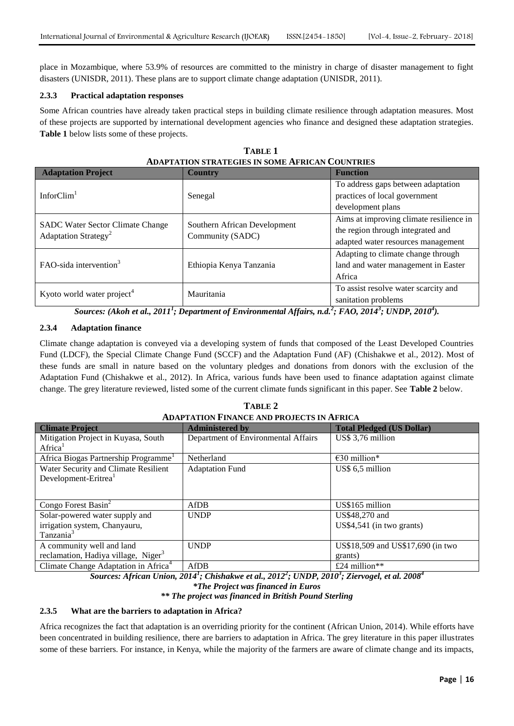place in Mozambique, where 53.9% of resources are committed to the ministry in charge of disaster management to fight disasters (UNISDR, 2011). These plans are to support climate change adaptation (UNISDR, 2011).

## **2.3.3 Practical adaptation responses**

Some African countries have already taken practical steps in building climate resilience through adaptation measures. Most of these projects are supported by international development agencies who finance and designed these adaptation strategies. **Table 1** below lists some of these projects.

| <b>Adaptation Project</b>                                                   | <b>Country</b>                                   | <b>Function</b>                         |
|-----------------------------------------------------------------------------|--------------------------------------------------|-----------------------------------------|
| InforClim <sup>1</sup>                                                      | Senegal                                          | To address gaps between adaptation      |
|                                                                             |                                                  | practices of local government           |
|                                                                             |                                                  | development plans                       |
| <b>SADC</b> Water Sector Climate Change<br>Adaptation Strategy <sup>2</sup> | Southern African Development<br>Community (SADC) | Aims at improving climate resilience in |
|                                                                             |                                                  | the region through integrated and       |
|                                                                             |                                                  | adapted water resources management      |
| FAO-sida intervention $3$                                                   | Ethiopia Kenya Tanzania                          | Adapting to climate change through      |
|                                                                             |                                                  | land and water management in Easter     |
|                                                                             |                                                  | Africa                                  |
| Kyoto world water project <sup>4</sup>                                      | Mauritania                                       | To assist resolve water scarcity and    |
|                                                                             |                                                  | sanitation problems                     |

**TABLE 1 ADAPTATION STRATEGIES IN SOME AFRICAN COUNTRIES**

*Sources: (Akoh et al., 2011<sup>1</sup> ; Department of Environmental Affairs, n.d.<sup>2</sup> ; FAO, 2014<sup>3</sup> ; UNDP, 2010<sup>4</sup> ).*

# **2.3.4 Adaptation finance**

Climate change adaptation is conveyed via a developing system of funds that composed of the Least Developed Countries Fund (LDCF), the Special Climate Change Fund (SCCF) and the Adaptation Fund (AF) (Chishakwe et al., 2012). Most of these funds are small in nature based on the voluntary pledges and donations from donors with the exclusion of the Adaptation Fund (Chishakwe et al., 2012). In Africa, various funds have been used to finance adaptation against climate change. The grey literature reviewed, listed some of the current climate funds significant in this paper. See **Table 2** below.

**TABLE 2**

| <b>ADAPTATION FINANCE AND PROJECTS IN AFRICA</b> |                                     |                                   |
|--------------------------------------------------|-------------------------------------|-----------------------------------|
| <b>Climate Project</b>                           | <b>Administered by</b>              | <b>Total Pledged (US Dollar)</b>  |
| Mitigation Project in Kuyasa, South              | Department of Environmental Affairs | US\$ 3,76 million                 |
| Africa <sup>1</sup>                              |                                     |                                   |
| Africa Biogas Partnership Programme              | Netherland                          | $\epsilon$ 30 million*            |
| Water Security and Climate Resilient             | <b>Adaptation Fund</b>              | US\$ 6,5 million                  |
| Development-Eritrea <sup>1</sup>                 |                                     |                                   |
|                                                  |                                     |                                   |
| Congo Forest Basin $2$                           | AfDB                                | US\$165 million                   |
| Solar-powered water supply and                   | <b>UNDP</b>                         | US\$48,270 and                    |
| irrigation system, Chanyauru,                    |                                     | $US$4,541$ (in two grants)        |
| Tanzania <sup>3</sup>                            |                                     |                                   |
| A community well and land                        | <b>UNDP</b>                         | US\$18,509 and US\$17,690 (in two |
| reclamation, Hadiya village, Niger <sup>3</sup>  |                                     | grants)                           |
| Climate Change Adaptation in Africa <sup>4</sup> | AfDB                                | £24 million**                     |

*Sources: African Union, 2014<sup>1</sup> ; Chishakwe et al., 2012<sup>2</sup> ; UNDP, 2010<sup>3</sup> ; Ziervogel, et al. 2008<sup>4</sup>*

*\*\* The project was financed in British Pound Sterling*

# **2.3.5 What are the barriers to adaptation in Africa?**

Africa recognizes the fact that adaptation is an overriding priority for the continent (African Union, 2014). While efforts have been concentrated in building resilience, there are barriers to adaptation in Africa. The grey literature in this paper illustrates some of these barriers. For instance, in Kenya, while the majority of the farmers are aware of climate change and its impacts,

*<sup>\*</sup>The Project was financed in Euros*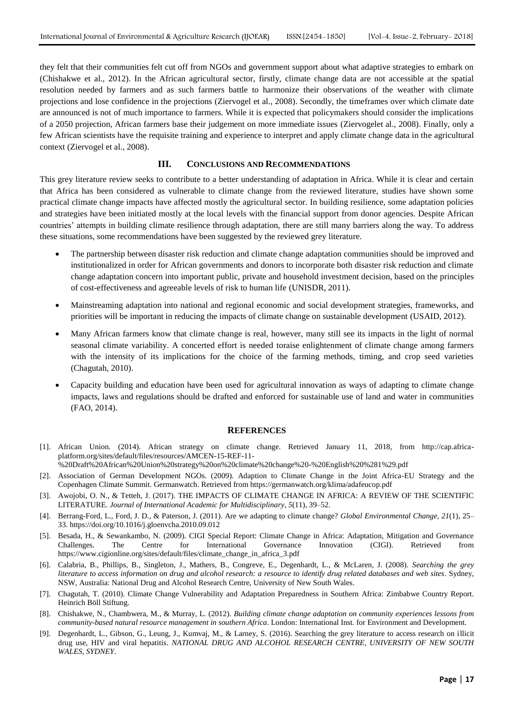they felt that their communities felt cut off from NGOs and government support about what adaptive strategies to embark on (Chishakwe et al., 2012). In the African agricultural sector, firstly, climate change data are not accessible at the spatial resolution needed by farmers and as such farmers battle to harmonize their observations of the weather with climate projections and lose confidence in the projections (Ziervogel et al., 2008). Secondly, the timeframes over which climate date are announced is not of much importance to farmers. While it is expected that policymakers should consider the implications of a 2050 projection, African farmers base their judgement on more immediate issues (Ziervogelet al., 2008). Finally, only a few African scientists have the requisite training and experience to interpret and apply climate change data in the agricultural context (Ziervogel et al., 2008).

#### **III. CONCLUSIONS AND RECOMMENDATIONS**

This grey literature review seeks to contribute to a better understanding of adaptation in Africa. While it is clear and certain that Africa has been considered as vulnerable to climate change from the reviewed literature, studies have shown some practical climate change impacts have affected mostly the agricultural sector. In building resilience, some adaptation policies and strategies have been initiated mostly at the local levels with the financial support from donor agencies. Despite African countries' attempts in building climate resilience through adaptation, there are still many barriers along the way. To address these situations, some recommendations have been suggested by the reviewed grey literature.

- The partnership between disaster risk reduction and climate change adaptation communities should be improved and institutionalized in order for African governments and donors to incorporate both disaster risk reduction and climate change adaptation concern into important public, private and household investment decision, based on the principles of cost-effectiveness and agreeable levels of risk to human life (UNISDR, 2011).
- Mainstreaming adaptation into national and regional economic and social development strategies, frameworks, and priorities will be important in reducing the impacts of climate change on sustainable development (USAID, 2012).
- Many African farmers know that climate change is real, however, many still see its impacts in the light of normal seasonal climate variability. A concerted effort is needed toraise enlightenment of climate change among farmers with the intensity of its implications for the choice of the farming methods, timing, and crop seed varieties (Chagutah, 2010).
- Capacity building and education have been used for agricultural innovation as ways of adapting to climate change impacts, laws and regulations should be drafted and enforced for sustainable use of land and water in communities (FAO, 2014).

#### **REFERENCES**

- [1]. African Union. (2014). African strategy on climate change. Retrieved January 11, 2018, from http://cap.africaplatform.org/sites/default/files/resources/AMCEN-15-REF-11-
- %20Draft%20African%20Union%20strategy%20on%20climate%20change%20-%20English%20%281%29.pdf
- [2]. Association of German Development NGOs. (2009). Adaption to Climate Change in the Joint Africa-EU Strategy and the Copenhagen Climate Summit. Germanwatch. Retrieved from https://germanwatch.org/klima/adafeucop.pdf
- [3]. Awojobi, O. N., & Tetteh, J. (2017). THE IMPACTS OF CLIMATE CHANGE IN AFRICA: A REVIEW OF THE SCIENTIFIC LITERATURE. *Journal of International Academic for Multidisciplinary*, *5*(11), 39–52.
- [4]. Berrang-Ford, L., Ford, J. D., & Paterson, J. (2011). Are we adapting to climate change? *Global Environmental Change*, *21*(1), 25– 33. https://doi.org/10.1016/j.gloenvcha.2010.09.012
- [5]. Besada, H., & Sewankambo, N. (2009). CIGI Special Report: Climate Change in Africa: Adaptation, Mitigation and Governance Challenges. The Centre for International Governance Innovation (CIGI). Retrieved from https://www.cigionline.org/sites/default/files/climate\_change\_in\_africa\_3.pdf
- [6]. Calabria, B., Phillips, B., Singleton, J., Mathers, B., Congreve, E., Degenhardt, L., & McLaren, J. (2008). *Searching the grey literature to access information on drug and alcohol research: a resource to identify drug related databases and web sites*. Sydney, NSW, Australia: National Drug and Alcohol Research Centre, University of New South Wales.
- [7]. Chagutah, T. (2010). Climate Change Vulnerability and Adaptation Preparedness in Southern Africa: Zimbabwe Country Report. Heinrich Böll Stiftung.
- [8]. Chishakwe, N., Chambwera, M., & Murray, L. (2012). *Building climate change adaptation on community experiences lessons from community-based natural resource management in southern Africa*. London: International Inst. for Environment and Development.
- [9]. Degenhardt, L., Gibson, G., Leung, J., Kumvaj, M., & Larney, S. (2016). Searching the grey literature to access research on illicit drug use, HIV and viral hepatitis. *NATIONAL DRUG AND ALCOHOL RESEARCH CENTRE, UNIVERSITY OF NEW SOUTH WALES, SYDNEY*.